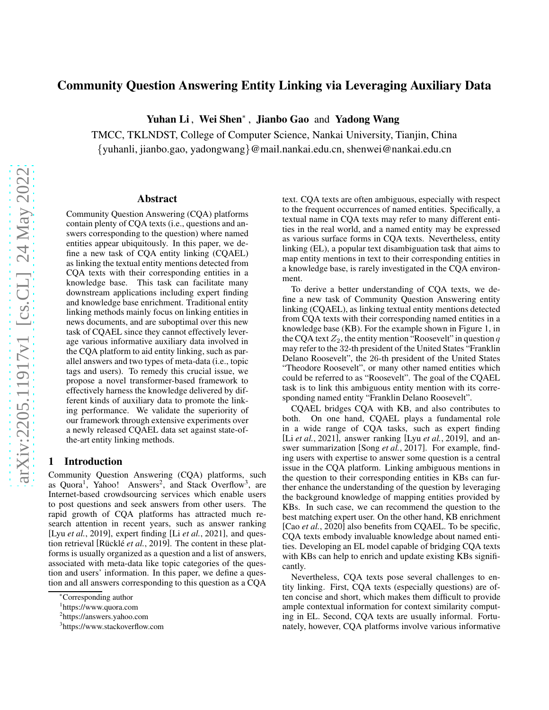# Community Question Answering Entity Linking via Leveraging Auxiliary Data

Yuhan Li, Wei Shen<sup>∗</sup>, Jianbo Gao and Yadong Wang

TMCC, TKLNDST, College of Computer Science, Nankai University, Tianjin, China {yuhanli, jianbo.gao, yadongwang}@mail.nankai.edu.cn, shenwei@nankai.edu.cn

### Abstract

Community Question Answering (CQA) platforms contain plenty of CQA texts (i.e., questions and answers corresponding to the question) where named entities appear ubiquitously. In this paper, we define a new task of CQA entity linking (CQAEL) as linking the textual entity mentions detected from CQA texts with their corresponding entities in a knowledge base. This task can facilitate many downstream applications including expert finding and knowledge base enrichment. Traditional entity linking methods mainly focus on linking entities in news documents, and are suboptimal over this new task of CQAEL since they cannot effectively leverage various informative auxiliary data involved in the CQA platform to aid entity linking, such as parallel answers and two types of meta-data (i.e., topic tags and users). To remedy this crucial issue, we propose a novel transformer-based framework to effectively harness the knowledge delivered by different kinds of auxiliary data to promote the linking performance. We validate the superiority of our framework through extensive experiments over a newly released CQAEL data set against state-ofthe-art entity linking methods.

## 1 Introduction

Community Question Answering (CQA) platforms, such as Quora<sup>[1](#page-0-0)</sup>, Yahoo! Answers<sup>[2](#page-0-1)</sup>, and Stack Overflow<sup>[3](#page-0-2)</sup>, are Internet-based crowdsourcing services which enable users to post questions and seek answers from other users. The rapid growth of CQA platforms has attracted much research attention in recent years, such as answer ranking [Lyu *et al.*[, 2019\]](#page-6-0), expert finding [Li *et al.*[, 2021\]](#page-6-1), and question retrieval [Rücklé *et al.*, 2019]. The content in these platforms is usually organized as a question and a list of answers, associated with meta-data like topic categories of the question and users' information. In this paper, we define a question and all answers corresponding to this question as a CQA text. CQA texts are often ambiguous, especially with respect to the frequent occurrences of named entities. Specifically, a textual name in CQA texts may refer to many different entities in the real world, and a named entity may be expressed as various surface forms in CQA texts. Nevertheless, entity linking (EL), a popular text disambiguation task that aims to map entity mentions in text to their corresponding entities in a knowledge base, is rarely investigated in the CQA environment.

To derive a better understanding of CQA texts, we define a new task of Community Question Answering entity linking (CQAEL), as linking textual entity mentions detected from CQA texts with their corresponding named entities in a knowledge base (KB). For the example shown in Figure [1,](#page-1-0) in the CQA text  $Z_2$ , the entity mention "Roosevelt" in question q may refer to the 32-th president of the United States "Franklin Delano Roosevelt", the 26-th president of the United States "Theodore Roosevelt", or many other named entities which could be referred to as "Roosevelt". The goal of the CQAEL task is to link this ambiguous entity mention with its corresponding named entity "Franklin Delano Roosevelt".

CQAEL bridges CQA with KB, and also contributes to both. On one hand, CQAEL plays a fundamental role in a wide range of CQA tasks, such as expert finding [Li *et al.*[, 2021\]](#page-6-1), answer ranking [Lyu *et al.*[, 2019\]](#page-6-0), and answer summarization [Song *et al.*[, 2017\]](#page-6-3). For example, finding users with expertise to answer some question is a central issue in the CQA platform. Linking ambiguous mentions in the question to their corresponding entities in KBs can further enhance the understanding of the question by leveraging the background knowledge of mapping entities provided by KBs. In such case, we can recommend the question to the best matching expert user. On the other hand, KB enrichment [Cao *et al.*[, 2020\]](#page-6-4) also benefits from CQAEL. To be specific, CQA texts embody invaluable knowledge about named entities. Developing an EL model capable of bridging CQA texts with KBs can help to enrich and update existing KBs significantly.

Nevertheless, CQA texts pose several challenges to entity linking. First, CQA texts (especially questions) are often concise and short, which makes them difficult to provide ample contextual information for context similarity computing in EL. Second, CQA texts are usually informal. Fortunately, however, CQA platforms involve various informative

<sup>∗</sup>Corresponding author

<sup>1</sup> <https://www.quora.com>

<span id="page-0-0"></span><sup>2</sup> <https://answers.yahoo.com>

<span id="page-0-2"></span><span id="page-0-1"></span><sup>3</sup> <https://www.stackoverflow.com>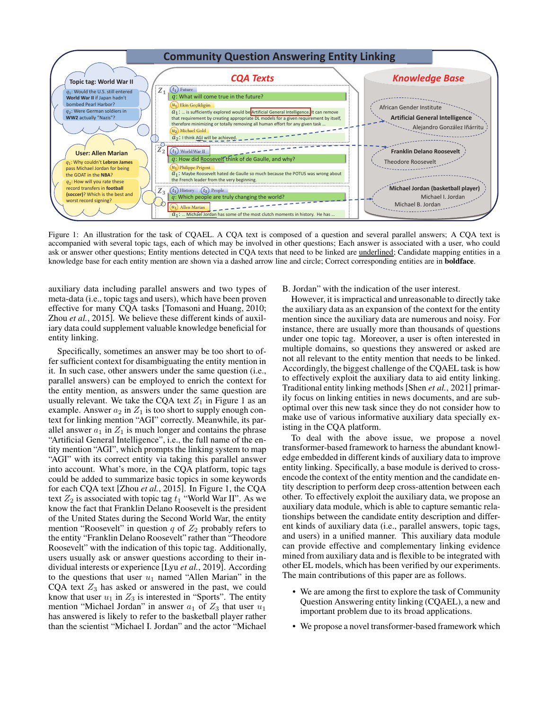<span id="page-1-0"></span>

Figure 1: An illustration for the task of CQAEL. A CQA text is composed of a question and several parallel answers; A CQA text is accompanied with several topic tags, each of which may be involved in other questions; Each answer is associated with a user, who could ask or answer other questions; Entity mentions detected in CQA texts that need to be linked are <u>underlined</u>; Candidate mapping entities in a knowledge base for each entity mention are shown via a dashed arrow line and circle; Correct corresponding entities are in **boldface**.

auxiliary data including parallel answers and two types of meta-data (i.e., topic tags and users), which have been proven effective for many CQA tasks [\[Tomasoni and Huang, 2010;](#page-7-0) Zhou *et al.*[, 2015\]](#page-7-1). We believe these different kinds of auxiliary data could supplement valuable knowledge beneficial for entity linking.

Specifically, sometimes an answer may be too short to offer sufficient context for disambiguating the entity mention in it. In such case, other answers under the same question (i.e., parallel answers) can be employed to enrich the context for the entity mention, as answers under the same question are usually relevant. We take the CQA text  $Z_1$  in Figure [1](#page-1-0) as an example. Answer  $a_2$  in  $Z_1$  is too short to supply enough context for linking mention "AGI" correctly. Meanwhile, its parallel answer  $a_1$  in  $Z_1$  is much longer and contains the phrase "Artificial General Intelligence", i.e., the full name of the entity mention "AGI", which prompts the linking system to map "AGI" with its correct entity via taking this parallel answer into account. What's more, in the CQA platform, topic tags could be added to summarize basic topics in some keywords for each CQA text [Zhou *et al.*[, 2015\]](#page-7-1). In Figure [1,](#page-1-0) the CQA text  $Z_2$  is associated with topic tag  $t_1$  "World War II". As we know the fact that Franklin Delano Roosevelt is the president of the United States during the Second World War, the entity mention "Roosevelt" in question  $q$  of  $Z_2$  probably refers to the entity "Franklin Delano Roosevelt" rather than "Theodore Roosevelt" with the indication of this topic tag. Additionally, users usually ask or answer questions according to their individual interests or experience [Lyu *et al.*[, 2019\]](#page-6-0). According to the questions that user  $u_1$  named "Allen Marian" in the CQA text  $Z_3$  has asked or answered in the past, we could know that user  $u_1$  in  $Z_3$  is interested in "Sports". The entity mention "Michael Jordan" in answer  $a_1$  of  $Z_3$  that user  $u_1$ has answered is likely to refer to the basketball player rather than the scientist "Michael I. Jordan" and the actor "Michael

#### B. Jordan" with the indication of the user interest.

However, it is impractical and unreasonable to directly take the auxiliary data as an expansion of the context for the entity mention since the auxiliary data are numerous and noisy. For instance, there are usually more than thousands of questions under one topic tag. Moreover, a user is often interested in multiple domains, so questions they answered or asked are not all relevant to the entity mention that needs to be linked. Accordingly, the biggest challenge of the CQAEL task is how to effectively exploit the auxiliary data to aid entity linking. Traditional entity linking methods[Shen *et al.*[, 2021\]](#page-6-5) primarily focus on linking entities in news documents, and are suboptimal over this new task since they do not consider how to make use of various informative auxiliary data specially existing in the CQA platform.

To deal with the above issue, we propose a novel transformer-based framework to harness the abundant knowledge embedded in different kinds of auxiliary data to improve entity linking. Specifically, a base module is derived to crossencode the context of the entity mention and the candidate entity description to perform deep cross-attention between each other. To effectively exploit the auxiliary data, we propose an auxiliary data module, which is able to capture semantic relationships between the candidate entity description and different kinds of auxiliary data (i.e., parallel answers, topic tags, and users) in a unified manner. This auxiliary data module can provide effective and complementary linking evidence mined from auxiliary data and is flexible to be integrated with other EL models, which has been verified by our experiments. The main contributions of this paper are as follows.

- We are among the first to explore the task of Community Question Answering entity linking (CQAEL), a new and important problem due to its broad applications.
- We propose a novel transformer-based framework which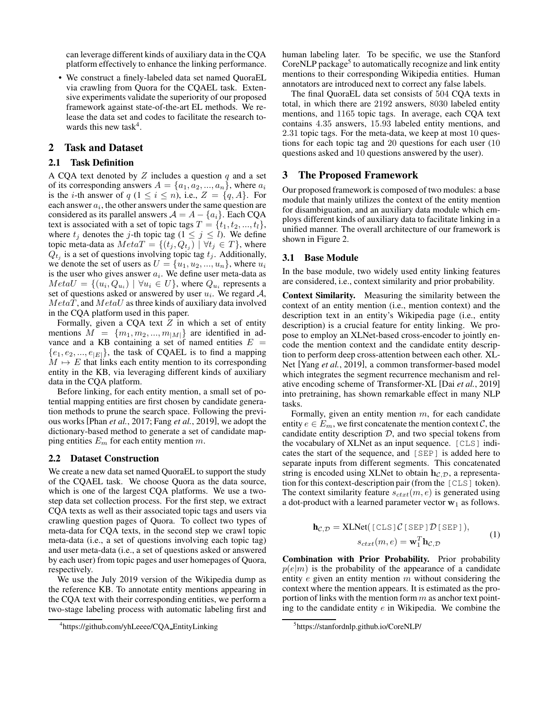can leverage different kinds of auxiliary data in the CQA platform effectively to enhance the linking performance.

• We construct a finely-labeled data set named QuoraEL via crawling from Quora for the CQAEL task. Extensive experiments validate the superiority of our proposed framework against state-of-the-art EL methods. We release the data set and codes to facilitate the research to-wards this new task<sup>[4](#page-2-0)</sup>.

## 2 Task and Dataset

#### 2.1 Task Definition

A CQA text denoted by  $Z$  includes a question  $q$  and a set of its corresponding answers  $A = \{a_1, a_2, ..., a_n\}$ , where  $a_i$ is the *i*-th answer of  $q$   $(1 \le i \le n)$ , i.e.,  $Z = \{q, A\}$ . For each answer  $a_i$ , the other answers under the same question are considered as its parallel answers  $A = A - \{a_i\}$ . Each CQA text is associated with a set of topic tags  $T = \{t_1, t_2, ..., t_l\},\$ where  $t_j$  denotes the j-th topic tag  $(1 \le j \le l)$ . We define topic meta-data as  $MetaT = \{(t_j, Q_{t_j}) \mid \forall t_j \in T\}$ , where  $Q_{t_j}$  is a set of questions involving topic tag  $t_j$ . Additionally, we denote the set of users as  $U = \{u_1, u_2, ..., u_n\}$ , where  $u_i$ is the user who gives answer  $a_i$ . We define user meta-data as  $MetaU = \{(u_i, Q_{u_i}) \mid \forall u_i \in U\}$ , where  $Q_{u_i}$  represents a set of questions asked or answered by user  $u_i$ . We regard  $A$ ,  $MetaT$ , and  $MetaU$  as three kinds of auxiliary data involved in the CQA platform used in this paper.

Formally, given a CQA text  $Z$  in which a set of entity mentions  $M = \{m_1, m_2, ..., m_{|M|}\}\$ are identified in advance and a KB containing a set of named entities  $E =$  $\{e_1, e_2, ..., e_{|E|}\}\$ , the task of CQAEL is to find a mapping  $M \mapsto E$  that links each entity mention to its corresponding entity in the KB, via leveraging different kinds of auxiliary data in the CQA platform.

Before linking, for each entity mention, a small set of potential mapping entities are first chosen by candidate generation methods to prune the search space. Following the previous works [Phan *et al.*[, 2017;](#page-6-6) Fang *et al.*[, 2019\]](#page-6-7), we adopt the dictionary-based method to generate a set of candidate mapping entities  $E_m$  for each entity mention  $m$ .

#### 2.2 Dataset Construction

We create a new data set named QuoraEL to support the study of the CQAEL task. We choose Quora as the data source, which is one of the largest CQA platforms. We use a twostep data set collection process. For the first step, we extract CQA texts as well as their associated topic tags and users via crawling question pages of Quora. To collect two types of meta-data for CQA texts, in the second step we crawl topic meta-data (i.e., a set of questions involving each topic tag) and user meta-data (i.e., a set of questions asked or answered by each user) from topic pages and user homepages of Quora, respectively.

We use the July 2019 version of the Wikipedia dump as the reference KB. To annotate entity mentions appearing in the CQA text with their corresponding entities, we perform a two-stage labeling process with automatic labeling first and human labeling later. To be specific, we use the Stanford CoreNLP package<sup>[5](#page-2-1)</sup> to automatically recognize and link entity mentions to their corresponding Wikipedia entities. Human annotators are introduced next to correct any false labels.

The final QuoraEL data set consists of 504 CQA texts in total, in which there are 2192 answers, 8030 labeled entity mentions, and 1165 topic tags. In average, each CQA text contains 4.35 answers, 15.93 labeled entity mentions, and 2.31 topic tags. For the meta-data, we keep at most 10 questions for each topic tag and 20 questions for each user (10 questions asked and 10 questions answered by the user).

## 3 The Proposed Framework

Our proposed framework is composed of two modules: a base module that mainly utilizes the context of the entity mention for disambiguation, and an auxiliary data module which employs different kinds of auxiliary data to facilitate linking in a unified manner. The overall architecture of our framework is shown in Figure [2.](#page-3-0)

#### 3.1 Base Module

In the base module, two widely used entity linking features are considered, i.e., context similarity and prior probability.

Context Similarity. Measuring the similarity between the context of an entity mention (i.e., mention context) and the description text in an entity's Wikipedia page (i.e., entity description) is a crucial feature for entity linking. We propose to employ an XLNet-based cross-encoder to jointly encode the mention context and the candidate entity description to perform deep cross-attention between each other. XL-Net [Yang *et al.*[, 2019\]](#page-7-2), a common transformer-based model which integrates the segment recurrence mechanism and relative encoding scheme of Transformer-XL [Dai *et al.*[, 2019\]](#page-6-8) into pretraining, has shown remarkable effect in many NLP tasks.

Formally, given an entity mention  $m$ , for each candidate entity  $e \in E_m$ , we first concatenate the mention context  $\mathcal{C}$ , the candidate entity description  $D$ , and two special tokens from the vocabulary of XLNet as an input sequence. [CLS] indicates the start of the sequence, and [SEP] is added here to separate inputs from different segments. This concatenated string is encoded using XLNet to obtain  $h_{\mathcal{C},\mathcal{D}}$ , a representation for this context-description pair (from the [CLS] token). The context similarity feature  $s_{\text{ctxt}}(m, e)$  is generated using a dot-product with a learned parameter vector  $w_1$  as follows.

$$
\mathbf{h}_{\mathcal{C},\mathcal{D}} = \text{XLNet}([\text{CLS}]\,\mathcal{C}[\text{SEP}]\,\mathcal{D}[\text{SEP}]),\ns_{ctxt}(m,e) = \mathbf{w}_1^T \mathbf{h}_{\mathcal{C},\mathcal{D}} \tag{1}
$$

Combination with Prior Probability. Prior probability  $p(e|m)$  is the probability of the appearance of a candidate entity  $e$  given an entity mention  $m$  without considering the context where the mention appears. It is estimated as the proportion of links with the mention form  $m$  as anchor text pointing to the candidate entity  $e$  in Wikipedia. We combine the

<span id="page-2-0"></span><sup>4</sup> [https://github.com/yhLeeee/CQA](https://github.com/yhLeeee/CQA_EntityLinking) EntityLinking

<span id="page-2-1"></span><sup>5</sup> <https://stanfordnlp.github.io/CoreNLP/>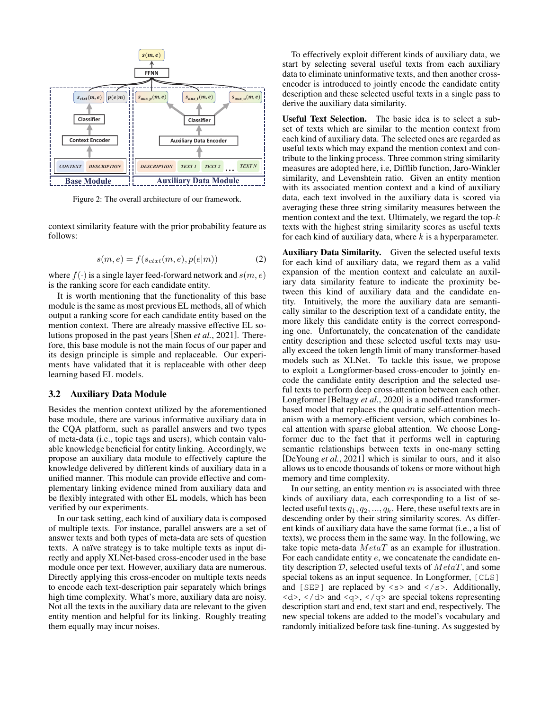<span id="page-3-0"></span>

Figure 2: The overall architecture of our framework.

<span id="page-3-1"></span>context similarity feature with the prior probability feature as follows:

$$
s(m, e) = f(s_{ctxt}(m, e), p(e|m))
$$
 (2)

where  $f(\cdot)$  is a single layer feed-forward network and  $s(m, e)$ is the ranking score for each candidate entity.

It is worth mentioning that the functionality of this base module is the same as most previous EL methods, all of which output a ranking score for each candidate entity based on the mention context. There are already massive effective EL solutions proposed in the past years [Shen *et al.*[, 2021\]](#page-6-5). Therefore, this base module is not the main focus of our paper and its design principle is simple and replaceable. Our experiments have validated that it is replaceable with other deep learning based EL models.

#### 3.2 Auxiliary Data Module

Besides the mention context utilized by the aforementioned base module, there are various informative auxiliary data in the CQA platform, such as parallel answers and two types of meta-data (i.e., topic tags and users), which contain valuable knowledge beneficial for entity linking. Accordingly, we propose an auxiliary data module to effectively capture the knowledge delivered by different kinds of auxiliary data in a unified manner. This module can provide effective and complementary linking evidence mined from auxiliary data and be flexibly integrated with other EL models, which has been verified by our experiments.

In our task setting, each kind of auxiliary data is composed of multiple texts. For instance, parallel answers are a set of answer texts and both types of meta-data are sets of question texts. A naïve strategy is to take multiple texts as input directly and apply XLNet-based cross-encoder used in the base module once per text. However, auxiliary data are numerous. Directly applying this cross-encoder on multiple texts needs to encode each text-description pair separately which brings high time complexity. What's more, auxiliary data are noisy. Not all the texts in the auxiliary data are relevant to the given entity mention and helpful for its linking. Roughly treating them equally may incur noises.

To effectively exploit different kinds of auxiliary data, we start by selecting several useful texts from each auxiliary data to eliminate uninformative texts, and then another crossencoder is introduced to jointly encode the candidate entity description and these selected useful texts in a single pass to derive the auxiliary data similarity.

Useful Text Selection. The basic idea is to select a subset of texts which are similar to the mention context from each kind of auxiliary data. The selected ones are regarded as useful texts which may expand the mention context and contribute to the linking process. Three common string similarity measures are adopted here, i.e, Difflib function, Jaro-Winkler similarity, and Levenshtein ratio. Given an entity mention with its associated mention context and a kind of auxiliary data, each text involved in the auxiliary data is scored via averaging these three string similarity measures between the mention context and the text. Ultimately, we regard the top- $k$ texts with the highest string similarity scores as useful texts for each kind of auxiliary data, where  $k$  is a hyperparameter.

Auxiliary Data Similarity. Given the selected useful texts for each kind of auxiliary data, we regard them as a valid expansion of the mention context and calculate an auxiliary data similarity feature to indicate the proximity between this kind of auxiliary data and the candidate entity. Intuitively, the more the auxiliary data are semantically similar to the description text of a candidate entity, the more likely this candidate entity is the correct corresponding one. Unfortunately, the concatenation of the candidate entity description and these selected useful texts may usually exceed the token length limit of many transformer-based models such as XLNet. To tackle this issue, we propose to exploit a Longformer-based cross-encoder to jointly encode the candidate entity description and the selected useful texts to perform deep cross-attention between each other. Longformer [\[Beltagy](#page-6-9) *et al.*, 2020] is a modified transformerbased model that replaces the quadratic self-attention mechanism with a memory-efficient version, which combines local attention with sparse global attention. We choose Longformer due to the fact that it performs well in capturing semantic relationships between texts in one-many setting [\[DeYoung](#page-6-10) *et al.*, 2021] which is similar to ours, and it also allows us to encode thousands of tokens or more without high memory and time complexity.

In our setting, an entity mention  $m$  is associated with three kinds of auxiliary data, each corresponding to a list of selected useful texts  $q_1, q_2, ..., q_k$ . Here, these useful texts are in descending order by their string similarity scores. As different kinds of auxiliary data have the same format (i.e., a list of texts), we process them in the same way. In the following, we take topic meta-data  $MetaT$  as an example for illustration. For each candidate entity e, we concatenate the candidate entity description  $D$ , selected useful texts of  $MetaT$ , and some special tokens as an input sequence. In Longformer, [CLS] and [SEP] are replaced by  $\langle s \rangle$  and  $\langle s \rangle$ . Additionally,  $\langle d \rangle$ ,  $\langle d \rangle$  and  $\langle q \rangle$ ,  $\langle q \rangle$  are special tokens representing description start and end, text start and end, respectively. The new special tokens are added to the model's vocabulary and randomly initialized before task fine-tuning. As suggested by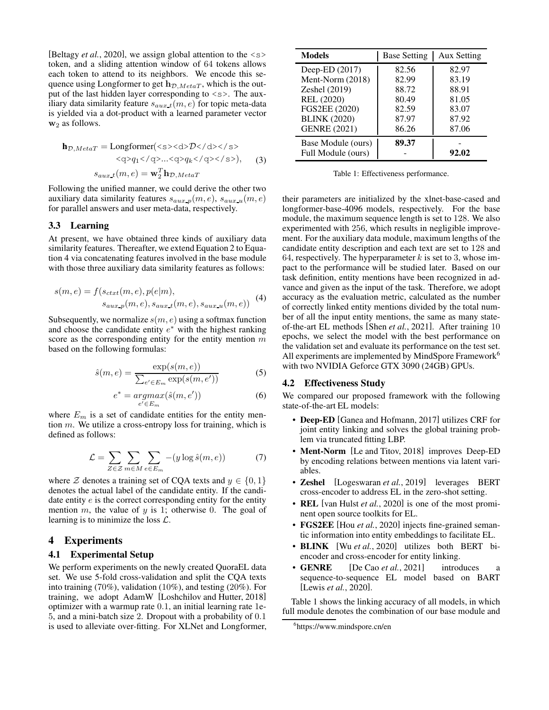[\[Beltagy](#page-6-9) *et al.*, 2020], we assign global attention to the  $\langle s \rangle$ token, and a sliding attention window of 64 tokens allows each token to attend to its neighbors. We encode this sequence using Longformer to get  $h_{\mathcal{D},MetaT}$ , which is the output of the last hidden layer corresponding to  $\langle s \rangle$ . The auxiliary data similarity feature  $s_{aux\ t}(m, e)$  for topic meta-data is yielded via a dot-product with a learned parameter vector  $w_2$  as follows.

$$
\mathbf{h}_{\mathcal{D},MetaT} = \text{Longformer}(\langle s \rangle \langle d \rangle \langle d \rangle \langle s \rangle)
$$

$$
\langle q \rangle q_1 \langle q \rangle ... \langle q \rangle q_k \langle q \rangle \langle s \rangle), \quad (3)
$$

$$
s_{aux\_t}(m, e) = \mathbf{w}_2^T \mathbf{h}_{\mathcal{D},MetaT}
$$

Following the unified manner, we could derive the other two auxiliary data similarity features  $s_{aux-p}(m, e)$ ,  $s_{aux-u}(m, e)$ for parallel answers and user meta-data, respectively.

#### 3.3 Learning

At present, we have obtained three kinds of auxiliary data similarity features. Thereafter, we extend Equation [2](#page-3-1) to Equation [4](#page-4-0) via concatenating features involved in the base module with those three auxiliary data similarity features as follows:

<span id="page-4-0"></span>
$$
s(m, e) = f(s_{ctxt}(m, e), p(e|m),s_{aux.p}(m, e), s_{aux.t}(m, e), s_{aux.u}(m, e))
$$
 (4)

Subsequently, we normalize  $s(m, e)$  using a softmax function and choose the candidate entity  $e^*$  with the highest ranking score as the corresponding entity for the entity mention  $m$ based on the following formulas:

$$
\hat{s}(m,e) = \frac{\exp(s(m,e))}{\sum_{e' \in E_m} \exp(s(m,e'))} \tag{5}
$$

$$
e^* = \underset{e' \in E_m}{\operatorname{argmax}} (\hat{s}(m, e')) \tag{6}
$$

where  $E_m$  is a set of candidate entities for the entity mention m. We utilize a cross-entropy loss for training, which is defined as follows:

$$
\mathcal{L} = \sum_{Z \in \mathcal{Z}} \sum_{m \in M} \sum_{e \in E_m} -(y \log \hat{s}(m, e)) \tag{7}
$$

where Z denotes a training set of CQA texts and  $y \in \{0, 1\}$ denotes the actual label of the candidate entity. If the candidate entity  $e$  is the correct corresponding entity for the entity mention m, the value of  $y$  is 1; otherwise 0. The goal of learning is to minimize the loss  $\mathcal{L}$ .

## 4 Experiments

### 4.1 Experimental Setup

We perform experiments on the newly created QuoraEL data set. We use 5-fold cross-validation and split the CQA texts into training (70%), validation (10%), and testing (20%). For training, we adopt AdamW [\[Loshchilov and Hutter, 2018\]](#page-6-11) optimizer with a warmup rate 0.1, an initial learning rate 1e-5, and a mini-batch size 2. Dropout with a probability of 0.1 is used to alleviate over-fitting. For XLNet and Longformer,

<span id="page-4-2"></span>

| <b>Models</b>       | <b>Base Setting</b> | <b>Aux Setting</b> |  |
|---------------------|---------------------|--------------------|--|
| Deep-ED (2017)      | 82.56               | 82.97              |  |
| Ment-Norm $(2018)$  | 82.99               | 83.19              |  |
| Zeshel (2019)       | 88.72               | 88.91              |  |
| REL (2020)          | 80.49               | 81.05              |  |
| FGS2EE (2020)       | 82.59               | 83.07              |  |
| <b>BLINK (2020)</b> | 87.97               | 87.92              |  |
| <b>GENRE (2021)</b> | 86.26               | 87.06              |  |
| Base Module (ours)  | 89.37               |                    |  |
| Full Module (ours)  |                     | 92.02              |  |

Table 1: Effectiveness performance.

their parameters are initialized by the xlnet-base-cased and longformer-base-4096 models, respectively. For the base module, the maximum sequence length is set to 128. We also experimented with 256, which results in negligible improvement. For the auxiliary data module, maximum lengths of the candidate entity description and each text are set to 128 and 64, respectively. The hyperparameter  $k$  is set to 3, whose impact to the performance will be studied later. Based on our task definition, entity mentions have been recognized in advance and given as the input of the task. Therefore, we adopt accuracy as the evaluation metric, calculated as the number of correctly linked entity mentions divided by the total number of all the input entity mentions, the same as many stateof-the-art EL methods [Shen *et al.*[, 2021\]](#page-6-5). After training 10 epochs, we select the model with the best performance on the validation set and evaluate its performance on the test set. All experiments are implemented by MindSpore Framework<sup>[6](#page-4-1)</sup> with two NVIDIA Geforce GTX 3090 (24GB) GPUs.

### 4.2 Effectiveness Study

We compared our proposed framework with the following state-of-the-art EL models:

- Deep-ED [\[Ganea and Hofmann, 2017\]](#page-6-12) utilizes CRF for joint entity linking and solves the global training problem via truncated fitting LBP.
- Ment-Norm [\[Le and Titov, 2018\]](#page-6-13) improves Deep-ED by encoding relations between mentions via latent variables.
- Zeshel [\[Logeswaran](#page-6-14) *et al.*, 2019] leverages BERT cross-encoder to address EL in the zero-shot setting.
- REL [\[van Hulst](#page-7-3) *et al.*, 2020] is one of the most prominent open source toolkits for EL.
- **FGS2EE** [Hou *et al.*[, 2020\]](#page-6-15) injects fine-grained semantic information into entity embeddings to facilitate EL.
- BLINK [Wu *et al.*[, 2020\]](#page-7-4) utilizes both BERT biencoder and cross-encoder for entity linking.
- **GENRE** [\[De Cao](#page-6-16) *et al.*, 2021] introduces a sequence-to-sequence EL model based on BART [Lewis *et al.*[, 2020\]](#page-6-17).

Table [1](#page-4-2) shows the linking accuracy of all models, in which full module denotes the combination of our base module and

<span id="page-4-1"></span><sup>6</sup> <https://www.mindspore.cn/en>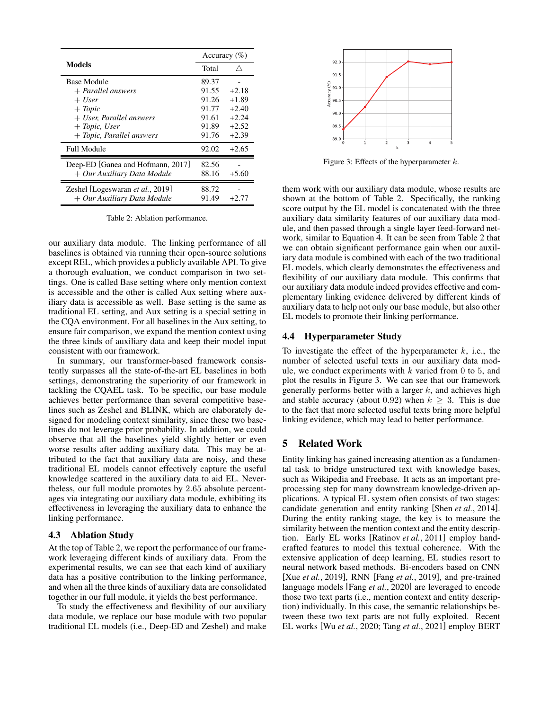<span id="page-5-0"></span>

|                                                                                                                                                     | Accuracy $(\%)$                                             |                                                                |
|-----------------------------------------------------------------------------------------------------------------------------------------------------|-------------------------------------------------------------|----------------------------------------------------------------|
| Models                                                                                                                                              | Total                                                       |                                                                |
| <b>Base Module</b><br>$+$ Parallel answers<br>$+$ User<br>$+$ Topic<br>$+$ User, Parallel answers<br>$+$ Topic, User<br>$+$ Topic, Parallel answers | 89.37<br>91.55<br>91.26<br>91.77<br>91.61<br>91.89<br>91.76 | $+2.18$<br>$+1.89$<br>$+2.40$<br>$+2.24$<br>$+2.52$<br>$+2.39$ |
| <b>Full Module</b>                                                                                                                                  | 92.02                                                       | $+2.65$                                                        |
| Deep-ED [Ganea and Hofmann, 2017]<br>$+$ Our Auxiliary Data Module                                                                                  | 82.56<br>88.16                                              | $+5.60$                                                        |
| Zeshel [Logeswaran et al., 2019]<br>$+$ Our Auxiliary Data Module                                                                                   | 88.72<br>91.49                                              | $+2.77$                                                        |

Table 2: Ablation performance.

our auxiliary data module. The linking performance of all baselines is obtained via running their open-source solutions except REL, which provides a publicly available API. To give a thorough evaluation, we conduct comparison in two settings. One is called Base setting where only mention context is accessible and the other is called Aux setting where auxiliary data is accessible as well. Base setting is the same as traditional EL setting, and Aux setting is a special setting in the CQA environment. For all baselines in the Aux setting, to ensure fair comparison, we expand the mention context using the three kinds of auxiliary data and keep their model input consistent with our framework.

In summary, our transformer-based framework consistently surpasses all the state-of-the-art EL baselines in both settings, demonstrating the superiority of our framework in tackling the CQAEL task. To be specific, our base module achieves better performance than several competitive baselines such as Zeshel and BLINK, which are elaborately designed for modeling context similarity, since these two baselines do not leverage prior probability. In addition, we could observe that all the baselines yield slightly better or even worse results after adding auxiliary data. This may be attributed to the fact that auxiliary data are noisy, and these traditional EL models cannot effectively capture the useful knowledge scattered in the auxiliary data to aid EL. Nevertheless, our full module promotes by 2.65 absolute percentages via integrating our auxiliary data module, exhibiting its effectiveness in leveraging the auxiliary data to enhance the linking performance.

## 4.3 Ablation Study

At the top of Table [2,](#page-5-0) we report the performance of our framework leveraging different kinds of auxiliary data. From the experimental results, we can see that each kind of auxiliary data has a positive contribution to the linking performance, and when all the three kinds of auxiliary data are consolidated together in our full module, it yields the best performance.

To study the effectiveness and flexibility of our auxiliary data module, we replace our base module with two popular traditional EL models (i.e., Deep-ED and Zeshel) and make

<span id="page-5-1"></span>

Figure 3: Effects of the hyperparameter  $k$ .

them work with our auxiliary data module, whose results are shown at the bottom of Table [2.](#page-5-0) Specifically, the ranking score output by the EL model is concatenated with the three auxiliary data similarity features of our auxiliary data module, and then passed through a single layer feed-forward network, similar to Equation [4.](#page-4-0) It can be seen from Table [2](#page-5-0) that we can obtain significant performance gain when our auxiliary data module is combined with each of the two traditional EL models, which clearly demonstrates the effectiveness and flexibility of our auxiliary data module. This confirms that our auxiliary data module indeed provides effective and complementary linking evidence delivered by different kinds of auxiliary data to help not only our base module, but also other EL models to promote their linking performance.

## 4.4 Hyperparameter Study

To investigate the effect of the hyperparameter  $k$ , i.e., the number of selected useful texts in our auxiliary data module, we conduct experiments with  $k$  varied from 0 to 5, and plot the results in Figure [3.](#page-5-1) We can see that our framework generally performs better with a larger  $k$ , and achieves high and stable accuracy (about 0.92) when  $k \geq 3$ . This is due to the fact that more selected useful texts bring more helpful linking evidence, which may lead to better performance.

## 5 Related Work

Entity linking has gained increasing attention as a fundamental task to bridge unstructured text with knowledge bases, such as Wikipedia and Freebase. It acts as an important preprocessing step for many downstream knowledge-driven applications. A typical EL system often consists of two stages: candidate generation and entity ranking [Shen *et al.*[, 2014\]](#page-6-18). During the entity ranking stage, the key is to measure the similarity between the mention context and the entity description. Early EL works [\[Ratinov](#page-6-19) *et al.*, 2011] employ handcrafted features to model this textual coherence. With the extensive application of deep learning, EL studies resort to neural network based methods. Bi-encoders based on CNN [Xue *et al.*[, 2019\]](#page-7-5), RNN [Fang *et al.*[, 2019\]](#page-6-7), and pre-trained language models [Fang *et al.*[, 2020\]](#page-6-20) are leveraged to encode those two text parts (i.e., mention context and entity description) individually. In this case, the semantic relationships between these two text parts are not fully exploited. Recent EL works [Wu *et al.*[, 2020;](#page-7-4) Tang *et al.*[, 2021\]](#page-7-6) employ BERT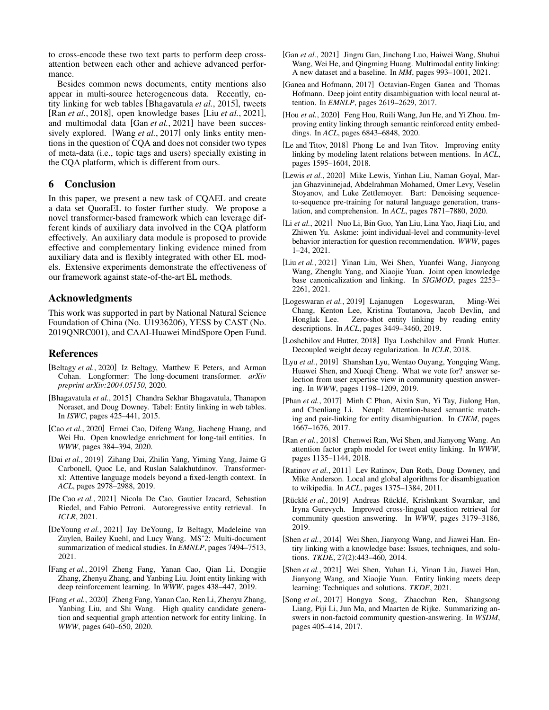to cross-encode these two text parts to perform deep crossattention between each other and achieve advanced performance.

Besides common news documents, entity mentions also appear in multi-source heterogeneous data. Recently, entity linking for web tables [\[Bhagavatula](#page-6-21) *et al.*, 2015], tweets [Ran *et al.*[, 2018\]](#page-6-22), open knowledge bases [Liu *et al.*[, 2021\]](#page-6-23), and multimodal data [Gan *et al.*[, 2021\]](#page-6-24) have been successively explored. [Wang *et al.*[, 2017\]](#page-7-7) only links entity mentions in the question of CQA and does not consider two types of meta-data (i.e., topic tags and users) specially existing in the CQA platform, which is different from ours.

## 6 Conclusion

In this paper, we present a new task of CQAEL and create a data set QuoraEL to foster further study. We propose a novel transformer-based framework which can leverage different kinds of auxiliary data involved in the CQA platform effectively. An auxiliary data module is proposed to provide effective and complementary linking evidence mined from auxiliary data and is flexibly integrated with other EL models. Extensive experiments demonstrate the effectiveness of our framework against state-of-the-art EL methods.

## Acknowledgments

This work was supported in part by National Natural Science Foundation of China (No. U1936206), YESS by CAST (No. 2019QNRC001), and CAAI-Huawei MindSpore Open Fund.

## References

- <span id="page-6-9"></span>[Beltagy *et al.*, 2020] Iz Beltagy, Matthew E Peters, and Arman Cohan. Longformer: The long-document transformer. *arXiv preprint arXiv:2004.05150*, 2020.
- <span id="page-6-21"></span>[Bhagavatula *et al.*, 2015] Chandra Sekhar Bhagavatula, Thanapon Noraset, and Doug Downey. Tabel: Entity linking in web tables. In *ISWC*, pages 425–441, 2015.
- <span id="page-6-4"></span>[Cao *et al.*, 2020] Ermei Cao, Difeng Wang, Jiacheng Huang, and Wei Hu. Open knowledge enrichment for long-tail entities. In *WWW*, pages 384–394, 2020.
- <span id="page-6-8"></span>[Dai *et al.*, 2019] Zihang Dai, Zhilin Yang, Yiming Yang, Jaime G Carbonell, Quoc Le, and Ruslan Salakhutdinov. Transformerxl: Attentive language models beyond a fixed-length context. In *ACL*, pages 2978–2988, 2019.
- <span id="page-6-16"></span>[De Cao *et al.*, 2021] Nicola De Cao, Gautier Izacard, Sebastian Riedel, and Fabio Petroni. Autoregressive entity retrieval. In *ICLR*, 2021.
- <span id="page-6-10"></span>[DeYoung *et al.*, 2021] Jay DeYoung, Iz Beltagy, Madeleine van Zuylen, Bailey Kuehl, and Lucy Wang. MSˆ2: Multi-document summarization of medical studies. In *EMNLP*, pages 7494–7513, 2021.
- <span id="page-6-7"></span>[Fang *et al.*, 2019] Zheng Fang, Yanan Cao, Qian Li, Dongjie Zhang, Zhenyu Zhang, and Yanbing Liu. Joint entity linking with deep reinforcement learning. In *WWW*, pages 438–447, 2019.
- <span id="page-6-20"></span>[Fang *et al.*, 2020] Zheng Fang, Yanan Cao, Ren Li, Zhenyu Zhang, Yanbing Liu, and Shi Wang. High quality candidate generation and sequential graph attention network for entity linking. In *WWW*, pages 640–650, 2020.
- <span id="page-6-24"></span>[Gan *et al.*, 2021] Jingru Gan, Jinchang Luo, Haiwei Wang, Shuhui Wang, Wei He, and Qingming Huang. Multimodal entity linking: A new dataset and a baseline. In *MM*, pages 993–1001, 2021.
- <span id="page-6-12"></span>[Ganea and Hofmann, 2017] Octavian-Eugen Ganea and Thomas Hofmann. Deep joint entity disambiguation with local neural attention. In *EMNLP*, pages 2619–2629, 2017.
- <span id="page-6-15"></span>[Hou *et al.*, 2020] Feng Hou, Ruili Wang, Jun He, and Yi Zhou. Improving entity linking through semantic reinforced entity embeddings. In *ACL*, pages 6843–6848, 2020.
- <span id="page-6-13"></span>[Le and Titov, 2018] Phong Le and Ivan Titov. Improving entity linking by modeling latent relations between mentions. In *ACL*, pages 1595–1604, 2018.
- <span id="page-6-17"></span>[Lewis *et al.*, 2020] Mike Lewis, Yinhan Liu, Naman Goyal, Marjan Ghazvininejad, Abdelrahman Mohamed, Omer Levy, Veselin Stoyanov, and Luke Zettlemoyer. Bart: Denoising sequenceto-sequence pre-training for natural language generation, translation, and comprehension. In *ACL*, pages 7871–7880, 2020.
- <span id="page-6-1"></span>[Li *et al.*, 2021] Nuo Li, Bin Guo, Yan Liu, Lina Yao, Jiaqi Liu, and Zhiwen Yu. Askme: joint individual-level and community-level behavior interaction for question recommendation. *WWW*, pages 1–24, 2021.
- <span id="page-6-23"></span>[Liu *et al.*, 2021] Yinan Liu, Wei Shen, Yuanfei Wang, Jianyong Wang, Zhenglu Yang, and Xiaojie Yuan. Joint open knowledge base canonicalization and linking. In *SIGMOD*, pages 2253– 2261, 2021.
- <span id="page-6-14"></span>[Logeswaran *et al.*, 2019] Lajanugen Logeswaran, Ming-Wei Chang, Kenton Lee, Kristina Toutanova, Jacob Devlin, and Honglak Lee. Zero-shot entity linking by reading entity descriptions. In *ACL*, pages 3449–3460, 2019.
- <span id="page-6-11"></span>[Loshchilov and Hutter, 2018] Ilya Loshchilov and Frank Hutter. Decoupled weight decay regularization. In *ICLR*, 2018.
- <span id="page-6-0"></span>[Lyu *et al.*, 2019] Shanshan Lyu, Wentao Ouyang, Yongqing Wang, Huawei Shen, and Xueqi Cheng. What we vote for? answer selection from user expertise view in community question answering. In *WWW*, pages 1198–1209, 2019.
- <span id="page-6-6"></span>[Phan *et al.*, 2017] Minh C Phan, Aixin Sun, Yi Tay, Jialong Han, and Chenliang Li. Neupl: Attention-based semantic matching and pair-linking for entity disambiguation. In *CIKM*, pages 1667–1676, 2017.
- <span id="page-6-22"></span>[Ran *et al.*, 2018] Chenwei Ran, Wei Shen, and Jianyong Wang. An attention factor graph model for tweet entity linking. In *WWW*, pages 1135–1144, 2018.
- <span id="page-6-19"></span>[Ratinov *et al.*, 2011] Lev Ratinov, Dan Roth, Doug Downey, and Mike Anderson. Local and global algorithms for disambiguation to wikipedia. In *ACL*, pages 1375–1384, 2011.
- <span id="page-6-2"></span>[Rücklé et al., 2019] Andreas Rücklé, Krishnkant Swarnkar, and Iryna Gurevych. Improved cross-lingual question retrieval for community question answering. In *WWW*, pages 3179–3186, 2019.
- <span id="page-6-18"></span>[Shen *et al.*, 2014] Wei Shen, Jianyong Wang, and Jiawei Han. Entity linking with a knowledge base: Issues, techniques, and solutions. *TKDE*, 27(2):443–460, 2014.
- <span id="page-6-5"></span>[Shen *et al.*, 2021] Wei Shen, Yuhan Li, Yinan Liu, Jiawei Han, Jianyong Wang, and Xiaojie Yuan. Entity linking meets deep learning: Techniques and solutions. *TKDE*, 2021.
- <span id="page-6-3"></span>[Song *et al.*, 2017] Hongya Song, Zhaochun Ren, Shangsong Liang, Piji Li, Jun Ma, and Maarten de Rijke. Summarizing answers in non-factoid community question-answering. In *WSDM*, pages 405–414, 2017.